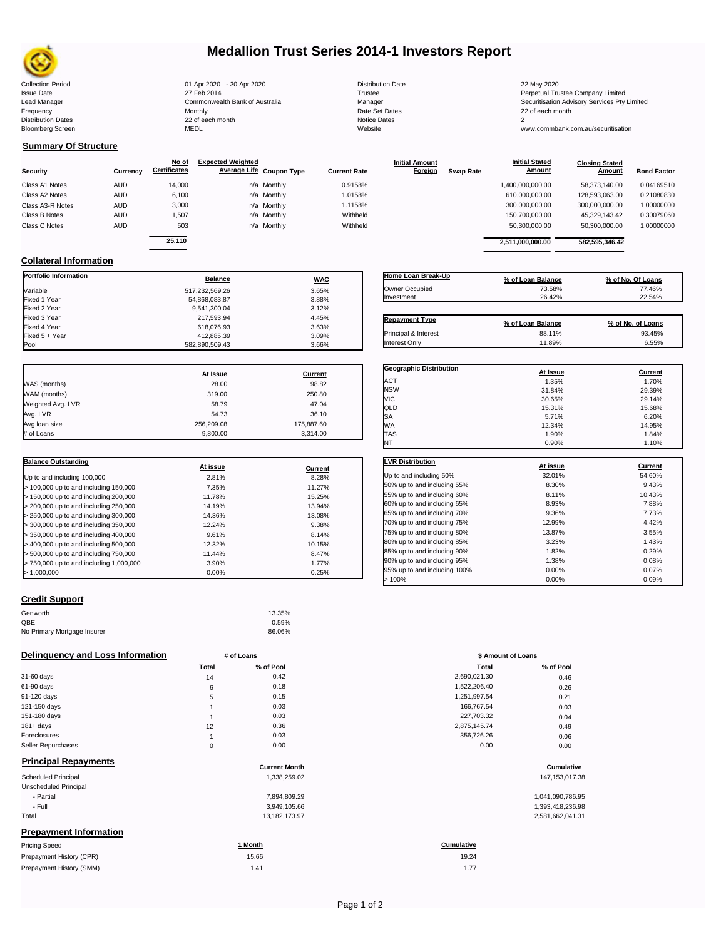

# **Medallion Trust Series 2014-1 Investors Report**

Collection Period 22 May 2020 01 Apr 2020 - 30 Apr 2020 Distribution Date 22 May 2020 22 May 2020 Issue Date 27 Feb 2014 Trustee Perpetual Trustee Company Limited Lead Manager **Commonwealth Bank of Australia** Manager Manager Securitisation Advisory Services Pty Limited Frequency Monthly Rate Set Dates 22 of each month Prequency results are the month of the Monthly Monthly and the Set Dates 22 of each month of the Set Dates 20 of each month of the Set Dates 20 of each month of the Set Dates 20 of each month of the Set Dates 20 of each mo Bloomberg Screen MEDL Website www.commbank.com.au/securitisation

| <b>Distribution Date</b> |
|--------------------------|
| Trustee                  |
| Manager                  |
| Rate Set Dates           |
| <b>Notice Dates</b>      |
| Website                  |
|                          |

**Initial Amount** 

**Closing Stated Amount**

### **Summary Of Structure**

**Collateral Information**

|                  |            | No of               | <b>Expected Weighted</b> |             |                     | <b>Initial Amount</b> |                  | <b>Initial Stated</b> | <b>Closing Stated</b> |                    |
|------------------|------------|---------------------|--------------------------|-------------|---------------------|-----------------------|------------------|-----------------------|-----------------------|--------------------|
| Security         | Currency   | <b>Certificates</b> | Average Life Coupon Type |             | <b>Current Rate</b> | <b>Foreign</b>        | <b>Swap Rate</b> | <b>Amount</b>         | Amount                | <b>Bond Factor</b> |
| Class A1 Notes   | <b>AUD</b> | 14.000              |                          | n/a Monthly | 0.9158%             |                       |                  | 1,400,000,000.00      | 58.373.140.00         | 0.04169510         |
| Class A2 Notes   | <b>AUD</b> | 6,100               |                          | n/a Monthly | 1.0158%             |                       |                  | 610.000.000.00        | 128.593.063.00        | 0.21080830         |
| Class A3-R Notes | <b>AUD</b> | 3,000               |                          | n/a Monthly | 1.1158%             |                       |                  | 300,000,000.00        | 300,000,000.00        | 1.00000000         |
| Class B Notes    | <b>AUD</b> | 1.507               |                          | n/a Monthly | Withheld            |                       |                  | 150.700.000.00        | 45.329.143.42         | 0.30079060         |
| Class C Notes    | <b>AUD</b> | 503                 |                          | n/a Monthly | Withheld            |                       |                  | 50,300,000.00         | 50,300,000.00         | 1.00000000         |
|                  |            | 25.110              |                          |             |                     |                       |                  | 2,511,000,000.00      | 582.595.346.42        |                    |
|                  |            |                     |                          |             |                     |                       |                  |                       |                       |                    |

**Portfolio Information Balance WAC** Variable 3.65% Fixed 1 Year 54,868,083.87 3.88% Fixed 2 Year 9,541,300.04 3.12% Fixed 3 Year 217,593.94 4.45% Fixed 4 Year 618,076.93 3.63% Fixed 5 + Year 412,885.39 3.09%

| Home Loan Break-Up    | % of Loan Balance | % of No. Of Loans |
|-----------------------|-------------------|-------------------|
| Owner Occupied        | 73.58%            | 77.46%            |
| Investment            | 26.42%            | 22.54%            |
| <b>Repayment Type</b> | % of Loan Balance | % of No. of Loans |
| Principal & Interest  | 88.11%            | 93.45%            |
| Interest Only         | 11.89%            | 6.55%             |

**Geographic Distribution**<br> **ACT**<br> **ACT**<br> **ACT**<br> **ACT**<br> **ACT**<br> **ACT** ACT 1.35% 1.70% NSW 31.84% 29.39%

**Initial Stated** 

|                   | At Issue   | <b>Current</b> |
|-------------------|------------|----------------|
| WAS (months)      | 28.00      | 98.82          |
| WAM (months)      | 319.00     | 250.80         |
| Weighted Avg. LVR | 58.79      | 47.04          |
| Avg. LVR          | 54.73      | 36.10          |
| Avg loan size     | 256.209.08 | 175.887.60     |

# of Loans 9,800.00 3,314.00

582,890,509.43

| <b>Balance Outstanding</b>              | At issue | Current |
|-----------------------------------------|----------|---------|
| Up to and including 100,000             | 2.81%    | 8.28%   |
| $>$ 100,000 up to and including 150,000 | 7.35%    | 11.27%  |
| $>$ 150,000 up to and including 200,000 | 11.78%   | 15.25%  |
| > 200,000 up to and including 250,000   | 14.19%   | 13.94%  |
| > 250,000 up to and including 300,000   | 14.36%   | 13.08%  |
| $>$ 300,000 up to and including 350,000 | 12.24%   | 9.38%   |
| > 350,000 up to and including 400,000   | 9.61%    | 8.14%   |
| > 400,000 up to and including 500,000   | 12.32%   | 10.15%  |
| > 500,000 up to and including 750,000   | 11.44%   | 8.47%   |
| > 750,000 up to and including 1,000,000 | 3.90%    | 1.77%   |
| > 1.000.000                             | 0.00%    | 0.25%   |

### **Credit Support**

| Genworth                    | 13.35% |
|-----------------------------|--------|
| QBE                         | 0.59%  |
| No Primary Mortgage Insurer | 86.06% |

### **Delinquency and Loss Information # of Loans \$ Amount of Loans**

| Definquency and Loss information |       | # of Loans           | \$ Amount of Loans |                  |
|----------------------------------|-------|----------------------|--------------------|------------------|
|                                  | Total | % of Pool            | Total              | % of Pool        |
| 31-60 days                       | 14    | 0.42                 | 2,690,021.30       | 0.46             |
| 61-90 days                       | 6     | 0.18                 | 1,522,206.40       | 0.26             |
| 91-120 days                      | 5     | 0.15                 | 1,251,997.54       | 0.21             |
| 121-150 days                     |       | 0.03                 | 166,767.54         | 0.03             |
| 151-180 days                     |       | 0.03                 | 227,703.32         | 0.04             |
| $181 + days$                     | 12    | 0.36                 | 2,875,145.74       | 0.49             |
| Foreclosures                     |       | 0.03                 | 356,726.26         | 0.06             |
| Seller Repurchases               | 0     | 0.00                 | 0.00               | 0.00             |
| <b>Principal Repayments</b>      |       |                      |                    |                  |
|                                  |       | <b>Current Month</b> |                    | Cumulative       |
| <b>Scheduled Principal</b>       |       | 1,338,259.02         |                    | 147, 153, 017.38 |
| Unscheduled Principal            |       |                      |                    |                  |
| - Partial                        |       | 7,894,809.29         |                    | 1,041,090,786.95 |
| - Full                           |       | 3,949,105.66         |                    | 1,393,418,236.98 |
| Total                            |       | 13,182,173.97        |                    | 2,581,662,041.31 |
| <b>Prepayment Information</b>    |       |                      |                    |                  |
| <b>Pricing Speed</b>             |       | 1 Month              | Cumulative         |                  |
| Prepayment History (CPR)         |       | 15.66                | 19.24              |                  |
| Prepayment History (SMM)         |       | 1.41                 | 1.77               |                  |

| VIC                          | 30.65%          | 29.14%         |
|------------------------------|-----------------|----------------|
| QLD                          | 15.31%          | 15.68%         |
| SA                           | 5.71%           | 6.20%          |
| WА                           | 12.34%          | 14.95%         |
| <b>TAS</b>                   | 1.90%           | 1.84%          |
| NT                           | 0.90%           | 1.10%          |
|                              |                 |                |
| <b>LVR Distribution</b>      | <u>At issue</u> | <b>Current</b> |
| Up to and including 50%      | 32.01%          | 54.60%         |
| 50% up to and including 55%  | 8.30%           | 9.43%          |
| 55% up to and including 60%  | 8.11%           | 10.43%         |
| 60% up to and including 65%  | 8.93%           | 7.88%          |
| 65% up to and including 70%  | 9.36%           | 7.73%          |
| 70% up to and including 75%  | 12.99%          | 4.42%          |
| 75% up to and including 80%  | 13.87%          | 3.55%          |
| 80% up to and including 85%  | 3.23%           | 1.43%          |
| 85% up to and including 90%  | 1.82%           | 0.29%          |
| 90% up to and including 95%  | 1.38%           | 0.08%          |
| 95% up to and including 100% | 0.00%           | 0.07%          |

 $> 100\%$  0.00% 0.09% 0.09%

| # of Loans  |           | \$ Amount of Loans |           |  |
|-------------|-----------|--------------------|-----------|--|
| Total       | % of Pool | <b>Total</b>       | % of Pool |  |
| 14          | 0.42      | 2,690,021.30       | 0.46      |  |
| 6           | 0.18      | 1,522,206.40       | 0.26      |  |
| 5           | 0.15      | 1,251,997.54       | 0.21      |  |
| 1           | 0.03      | 166,767.54         | 0.03      |  |
| 1           | 0.03      | 227,703.32         | 0.04      |  |
| 12          | 0.36      | 2,875,145.74       | 0.49      |  |
| 1           | 0.03      | 356,726.26         | 0.06      |  |
| $\mathbf 0$ | 0.00      | 0.00               | 0.00      |  |
|             |           |                    |           |  |

# **Cumulative**